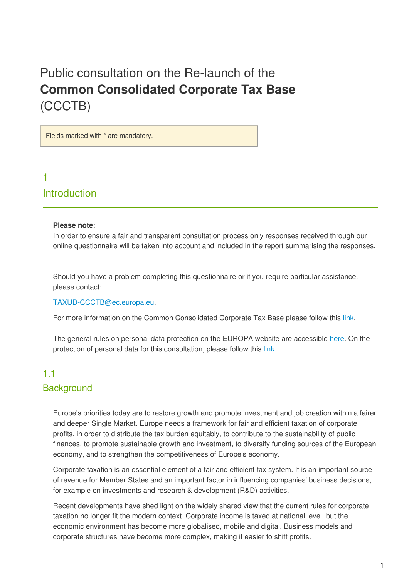# Public consultation on the Re-launch of the **Common Consolidated Corporate Tax Base** (CCCTB)

Fields marked with \* are mandatory.

# 1 Introduction

#### **Please note**:

In order to ensure a fair and transparent consultation process only responses received through our online questionnaire will be taken into account and included in the report summarising the responses.

Should you have a problem completing this questionnaire or if you require particular assistance, please contact:

#### TAXUD-CCCTB@ec.europa.eu.

For more information on the Common Consolidated Corporate Tax Base please follow this [link](http://ec.europa.eu/taxation_customs/taxation/company_tax/common_tax_base/index_en.htm).

The general rules on personal data protection on the EUROPA website are accessible [here](http://ec.europa.eu/geninfo/legal_notices_en.htm#personaldata). On the protection of personal data for this consultation, please follow this [link.](http://ec.europa.eu/taxation_customs/resources/documents/common/consultations/tax/relaunch_ccctb/privacy_statement_en.pdf)

# 1.1 **Background**

Europe's priorities today are to restore growth and promote investment and job creation within a fairer and deeper Single Market. Europe needs a framework for fair and efficient taxation of corporate profits, in order to distribute the tax burden equitably, to contribute to the sustainability of public finances, to promote sustainable growth and investment, to diversify funding sources of the European economy, and to strengthen the competitiveness of Europe's economy.

Corporate taxation is an essential element of a fair and efficient tax system. It is an important source of revenue for Member States and an important factor in influencing companies' business decisions, for example on investments and research & development (R&D) activities.

Recent developments have shed light on the widely shared view that the current rules for corporate taxation no longer fit the modern context. Corporate income is taxed at national level, but the economic environment has become more globalised, mobile and digital. Business models and corporate structures have become more complex, making it easier to shift profits.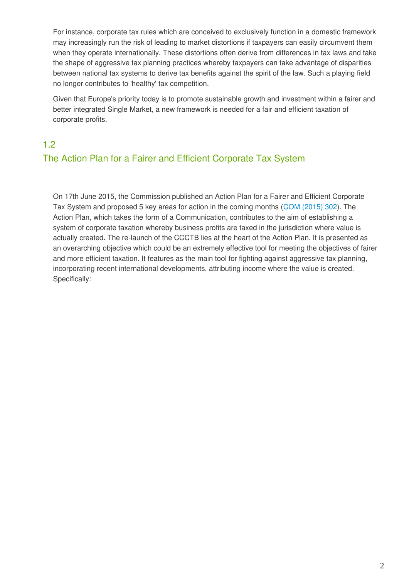For instance, corporate tax rules which are conceived to exclusively function in a domestic framework may increasingly run the risk of leading to market distortions if taxpayers can easily circumvent them when they operate internationally. These distortions often derive from differences in tax laws and take the shape of aggressive tax planning practices whereby taxpayers can take advantage of disparities between national tax systems to derive tax benefits against the spirit of the law. Such a playing field no longer contributes to 'healthy' tax competition.

Given that Europe's priority today is to promote sustainable growth and investment within a fairer and better integrated Single Market, a new framework is needed for a fair and efficient taxation of corporate profits.

## 1.2

# The Action Plan for a Fairer and Efficient Corporate Tax System

On 17th June 2015, the Commission published an Action Plan for a Fairer and Efficient Corporate Tax System and proposed 5 key areas for action in the coming months [\(COM \(2015\) 302\)](http://ec.europa.eu/taxation_customs/resources/documents/taxation/company_tax/fairer_corporate_taxation/com_2015_302_en.pdf). The Action Plan, which takes the form of a Communication, contributes to the aim of establishing a system of corporate taxation whereby business profits are taxed in the jurisdiction where value is actually created. The re-launch of the CCCTB lies at the heart of the Action Plan. It is presented as an overarching objective which could be an extremely effective tool for meeting the objectives of fairer and more efficient taxation. It features as the main tool for fighting against aggressive tax planning, incorporating recent international developments, attributing income where the value is created. Specifically: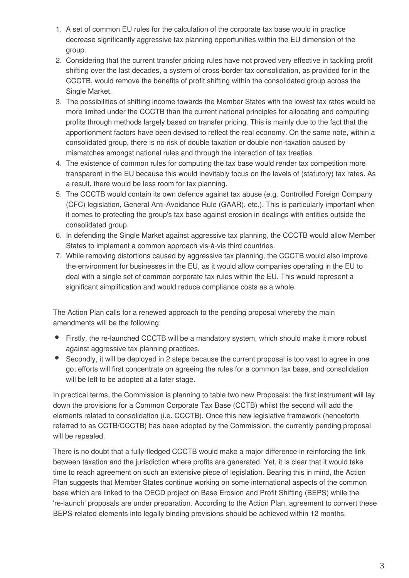- 1. A set of common EU rules for the calculation of the corporate tax base would in practice decrease significantly aggressive tax planning opportunities within the EU dimension of the group.
- 2. Considering that the current transfer pricing rules have not proved very effective in tackling profit shifting over the last decades, a system of cross-border tax consolidation, as provided for in the CCCTB, would remove the benefits of profit shifting within the consolidated group across the Single Market.
- 3. The possibilities of shifting income towards the Member States with the lowest tax rates would be more limited under the CCCTB than the current national principles for allocating and computing profits through methods largely based on transfer pricing. This is mainly due to the fact that the apportionment factors have been devised to reflect the real economy. On the same note, within a consolidated group, there is no risk of double taxation or double non-taxation caused by mismatches amongst national rules and through the interaction of tax treaties.
- 4. The existence of common rules for computing the tax base would render tax competition more transparent in the EU because this would inevitably focus on the levels of (statutory) tax rates. As a result, there would be less room for tax planning.
- 5. The CCCTB would contain its own defence against tax abuse (e.g. Controlled Foreign Company (CFC) legislation, General Anti-Avoidance Rule (GAAR), etc.). This is particularly important when it comes to protecting the group's tax base against erosion in dealings with entities outside the consolidated group.
- 6. In defending the Single Market against aggressive tax planning, the CCCTB would allow Member States to implement a common approach vis-à-vis third countries.
- 7. While removing distortions caused by aggressive tax planning, the CCCTB would also improve the environment for businesses in the EU, as it would allow companies operating in the EU to deal with a single set of common corporate tax rules within the EU. This would represent a significant simplification and would reduce compliance costs as a whole.

The Action Plan calls for a renewed approach to the pending proposal whereby the main amendments will be the following:

- Firstly, the re-launched CCCTB will be a mandatory system, which should make it more robust against aggressive tax planning practices.
- Secondly, it will be deployed in 2 steps because the current proposal is too vast to agree in one go; efforts will first concentrate on agreeing the rules for a common tax base, and consolidation will be left to be adopted at a later stage.

In practical terms, the Commission is planning to table two new Proposals: the first instrument will lay down the provisions for a Common Corporate Tax Base (CCTB) whilst the second will add the elements related to consolidation (i.e. CCCTB). Once this new legislative framework (henceforth referred to as CCTB/CCCTB) has been adopted by the Commission, the currently pending proposal will be repealed.

There is no doubt that a fully-fledged CCCTB would make a major difference in reinforcing the link between taxation and the jurisdiction where profits are generated. Yet, it is clear that it would take time to reach agreement on such an extensive piece of legislation. Bearing this in mind, the Action Plan suggests that Member States continue working on some international aspects of the common base which are linked to the OECD project on Base Erosion and Profit Shifting (BEPS) while the 're-launch' proposals are under preparation. According to the Action Plan, agreement to convert these BEPS-related elements into legally binding provisions should be achieved within 12 months.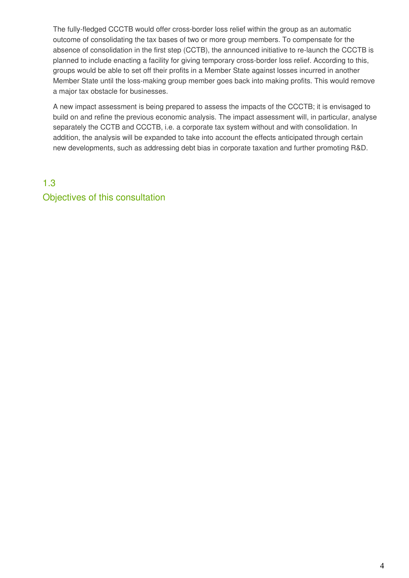The fully-fledged CCCTB would offer cross-border loss relief within the group as an automatic outcome of consolidating the tax bases of two or more group members. To compensate for the absence of consolidation in the first step (CCTB), the announced initiative to re-launch the CCCTB is planned to include enacting a facility for giving temporary cross-border loss relief. According to this, groups would be able to set off their profits in a Member State against losses incurred in another Member State until the loss-making group member goes back into making profits. This would remove a major tax obstacle for businesses.

A new impact assessment is being prepared to assess the impacts of the CCCTB; it is envisaged to build on and refine the previous economic analysis. The impact assessment will, in particular, analyse separately the CCTB and CCCTB, i.e. a corporate tax system without and with consolidation. In addition, the analysis will be expanded to take into account the effects anticipated through certain new developments, such as addressing debt bias in corporate taxation and further promoting R&D.

# 1.3 Objectives of this consultation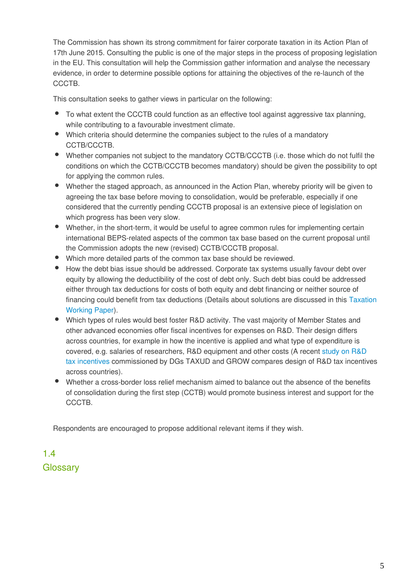The Commission has shown its strong commitment for fairer corporate taxation in its Action Plan of 17th June 2015. Consulting the public is one of the major steps in the process of proposing legislation in the EU. This consultation will help the Commission gather information and analyse the necessary evidence, in order to determine possible options for attaining the objectives of the re-launch of the CCCTB.

This consultation seeks to gather views in particular on the following:

- To what extent the CCCTB could function as an effective tool against aggressive tax planning, while contributing to a favourable investment climate.
- Which criteria should determine the companies subject to the rules of a mandatory CCTB/CCCTB.
- Whether companies not subject to the mandatory CCTB/CCCTB (i.e. those which do not fulfil the conditions on which the CCTB/CCCTB becomes mandatory) should be given the possibility to opt for applying the common rules.
- Whether the staged approach, as announced in the Action Plan, whereby priority will be given to agreeing the tax base before moving to consolidation, would be preferable, especially if one considered that the currently pending CCCTB proposal is an extensive piece of legislation on which progress has been very slow.
- Whether, in the short-term, it would be useful to agree common rules for implementing certain international BEPS-related aspects of the common tax base based on the current proposal until the Commission adopts the new (revised) CCTB/CCCTB proposal.
- Which more detailed parts of the common tax base should be reviewed.
- How the debt bias issue should be addressed. Corporate tax systems usually favour debt over equity by allowing the deductibility of the cost of debt only. Such debt bias could be addressed either through tax deductions for costs of both equity and debt financing or neither source of financing could benefit from tax deductions (Details about solutions are discussed in this [Taxation](http://ec.europa.eu/taxation_customs/resources/documents/taxation/gen_info/economic_analysis/tax_papers/taxation_paper_33_en.pdf) [Working Paper](http://ec.europa.eu/taxation_customs/resources/documents/taxation/gen_info/economic_analysis/tax_papers/taxation_paper_33_en.pdf)).
- Which types of rules would best foster R&D activity. The vast majority of Member States and other advanced economies offer fiscal incentives for expenses on R&D. Their design differs across countries, for example in how the incentive is applied and what type of expenditure is covered, e.g. salaries of researchers, R&D equipment and other costs (A recent [study on R&D](http://ec.europa.eu/taxation_customs/resources/documents/taxation/gen_info/economic_analysis/tax_papers/taxation_paper_52.pdf) [tax incentives](http://ec.europa.eu/taxation_customs/resources/documents/taxation/gen_info/economic_analysis/tax_papers/taxation_paper_52.pdf) commissioned by DGs TAXUD and GROW compares design of R&D tax incentives across countries).
- Whether a cross-border loss relief mechanism aimed to balance out the absence of the benefits of consolidation during the first step (CCTB) would promote business interest and support for the CCCTB.

Respondents are encouraged to propose additional relevant items if they wish.

# 1.4 **Glossary**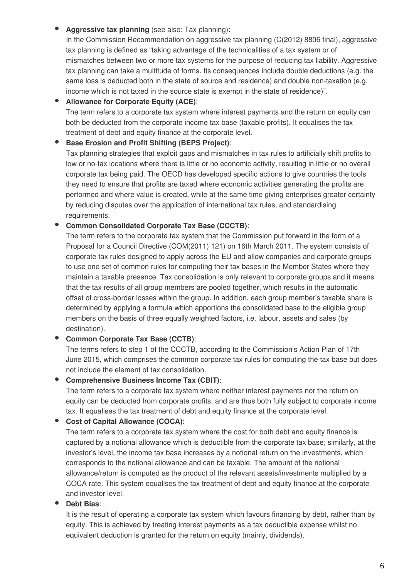## **Aggressive tax planning** (see also: Tax planning):

In the Commission Recommendation on aggressive tax planning (C(2012) 8806 final), aggressive tax planning is defined as "taking advantage of the technicalities of a tax system or of mismatches between two or more tax systems for the purpose of reducing tax liability. Aggressive tax planning can take a multitude of forms. Its consequences include double deductions (e.g. the same loss is deducted both in the state of source and residence) and double non-taxation (e.g. income which is not taxed in the source state is exempt in the state of residence)".

## **Allowance for Corporate Equity (ACE)**:

The term refers to a corporate tax system where interest payments and the return on equity can both be deducted from the corporate income tax base (taxable profits). It equalises the tax treatment of debt and equity finance at the corporate level.

### **Base Erosion and Profit Shifting (BEPS Project)**:

Tax planning strategies that exploit gaps and mismatches in tax rules to artificially shift profits to low or no-tax locations where there is little or no economic activity, resulting in little or no overall corporate tax being paid. The OECD has developed specific actions to give countries the tools they need to ensure that profits are taxed where economic activities generating the profits are performed and where value is created, while at the same time giving enterprises greater certainty by reducing disputes over the application of international tax rules, and standardising requirements.

### **Common Consolidated Corporate Tax Base (CCCTB)**:

The term refers to the corporate tax system that the Commission put forward in the form of a Proposal for a Council Directive (COM(2011) 121) on 16th March 2011. The system consists of corporate tax rules designed to apply across the EU and allow companies and corporate groups to use one set of common rules for computing their tax bases in the Member States where they maintain a taxable presence. Tax consolidation is only relevant to corporate groups and it means that the tax results of all group members are pooled together, which results in the automatic offset of cross-border losses within the group. In addition, each group member's taxable share is determined by applying a formula which apportions the consolidated base to the eligible group members on the basis of three equally weighted factors, i.e. labour, assets and sales (by destination).

### **Common Corporate Tax Base (CCTB)**:

The terms refers to step 1 of the CCCTB, according to the Commission's Action Plan of 17th June 2015, which comprises the common corporate tax rules for computing the tax base but does not include the element of tax consolidation.

### **Comprehensive Business Income Tax (CBIT)**:

The term refers to a corporate tax system where neither interest payments nor the return on equity can be deducted from corporate profits, and are thus both fully subject to corporate income tax. It equalises the tax treatment of debt and equity finance at the corporate level.

### **Cost of Capital Allowance (COCA)**:

The term refers to a corporate tax system where the cost for both debt and equity finance is captured by a notional allowance which is deductible from the corporate tax base; similarly, at the investor's level, the income tax base increases by a notional return on the investments, which corresponds to the notional allowance and can be taxable. The amount of the notional allowance/return is computed as the product of the relevant assets/investments multiplied by a COCA rate. This system equalises the tax treatment of debt and equity finance at the corporate and investor level.

### **Debt Bias**:

It is the result of operating a corporate tax system which favours financing by debt, rather than by equity. This is achieved by treating interest payments as a tax deductible expense whilst no equivalent deduction is granted for the return on equity (mainly, dividends).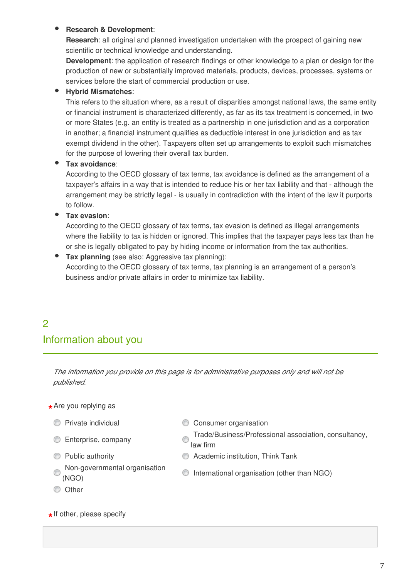### **Research & Development**:

**Research**: all original and planned investigation undertaken with the prospect of gaining new scientific or technical knowledge and understanding.

**Development**: the application of research findings or other knowledge to a plan or design for the production of new or substantially improved materials, products, devices, processes, systems or services before the start of commercial production or use.

### **Hybrid Mismatches**:

This refers to the situation where, as a result of disparities amongst national laws, the same entity or financial instrument is characterized differently, as far as its tax treatment is concerned, in two or more States (e.g. an entity is treated as a partnership in one jurisdiction and as a corporation in another; a financial instrument qualifies as deductible interest in one jurisdiction and as tax exempt dividend in the other). Taxpayers often set up arrangements to exploit such mismatches for the purpose of lowering their overall tax burden.

### **Tax avoidance**:

According to the OECD glossary of tax terms, tax avoidance is defined as the arrangement of a taxpayer's affairs in a way that is intended to reduce his or her tax liability and that - although the arrangement may be strictly legal - is usually in contradiction with the intent of the law it purports to follow.

### **Tax evasion**:

According to the OECD glossary of tax terms, tax evasion is defined as illegal arrangements where the liability to tax is hidden or ignored. This implies that the taxpayer pays less tax than he or she is legally obligated to pay by hiding income or information from the tax authorities.

**Tax planning** (see also: Aggressive tax planning): According to the OECD glossary of tax terms, tax planning is an arrangement of a person's business and/or private affairs in order to minimize tax liability.

# 2 Information about you

*The information you provide on this page is for administrative purposes only and will not be published.*

# **\*** Are you replying as

- 
- 
- 
- **C** Private individual C Consumer organisation
- Enterprise, company Trade/Business/Professional association, consultancy, law firm
- Public authority Academic institution, Think Tank
- Non-governmental organisation (NGO) International organisation (other than NGO)
- **O** Other

# **\*** If other, please specify

7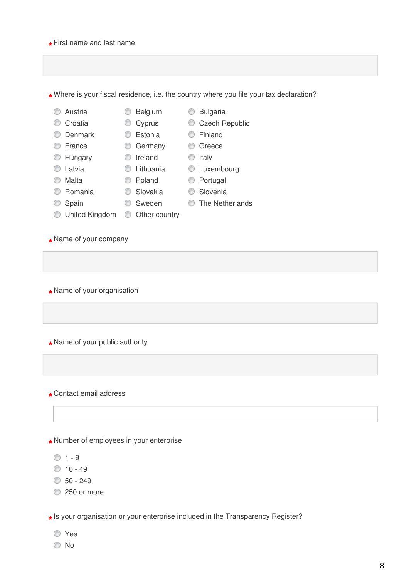# C Croatia C Cyprus C Czech Republic Denmark Estonia Finland C France C Germany C Greece C Hungary C Ireland C Italy **C** Latvia **C** Lithuania **C** Luxembourg C Malta C Poland C Portugal O Romania O Slovakia O Slovenia C Spain C Sweden C The Netherlands O United Kingdom © Other country **\*** Name of your company **\*** Name of your organisation

**\*** Number of employees in your enterprise

 $01 - 9$ 

- $010 49$
- $$50 249$
- 250 or more

**\*** Is your organisation or your enterprise included in the Transparency Register?

- Yes
- No
- **\*** Where is your fiscal residence, i.e. the country where you file your tax declaration?
- C Austria C Belgium C Bulgaria
- 
- 
- 
- 
- 
- 

**\*** First name and last name

**\*** Name of your public authority

**\*** Contact email address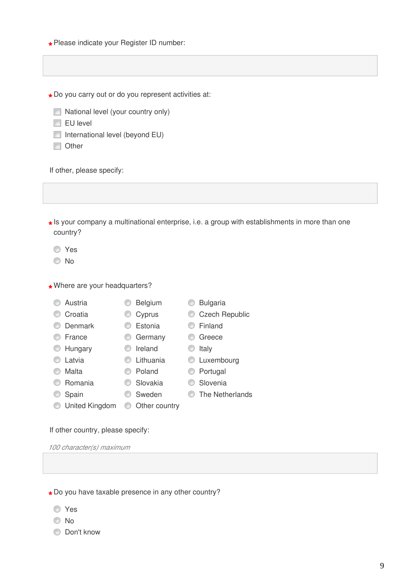**\*** Please indicate your Register ID number:

**\*** Do you carry out or do you represent activities at:

- National level (your country only)
- $\Box$  EU level
- $\Box$  International level (beyond EU)
- Other

If other, please specify:

**\*** Is your company a multinational enterprise, i.e. a group with establishments in more than one country?

Yes

© No

**\*** Where are your headquarters?

- -
- O Denmark **C** Estonia **C** Finland
- C France C Germany C Greece
- $\circledcirc$  Hungary  $\circledcirc$  Ireland  $\circledcirc$  Italy
	-
- 
- C Malta C Poland C Portugal
- O Romania C Slovakia C Slovenia
	-
- O United Kingdom © Other country

If other country, please specify:

*100 character(s) maximum* 

**\*** Do you have taxable presence in any other country?

- Yes
- © No
- C Don't know

9

- C Austria C Belgium C Bulgaria
- C Croatia C Cyprus C Czech Republic
	-
	-
	-
- **C** Latvia **C** Lithuania **C** Luxembourg
	-
	-
- **Spain** Sweden The Netherlands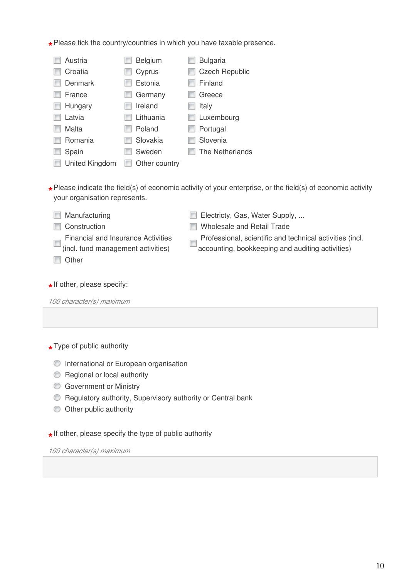**\*** Please tick the country/countries in which you have taxable presence.

| Austria                                                                                                            | <b>Belgium</b> | <b>Bulgaria</b>                                          |  |  |  |
|--------------------------------------------------------------------------------------------------------------------|----------------|----------------------------------------------------------|--|--|--|
| Croatia                                                                                                            | Cyprus         | <b>Czech Republic</b>                                    |  |  |  |
| <b>Denmark</b>                                                                                                     | Estonia        | Finland                                                  |  |  |  |
| France                                                                                                             | Germany        | Greece                                                   |  |  |  |
| Hungary                                                                                                            | Ireland        | Italy                                                    |  |  |  |
| Latvia                                                                                                             | Lithuania      | Luxembourg                                               |  |  |  |
| Malta                                                                                                              | Poland         | Portugal                                                 |  |  |  |
| Romania                                                                                                            | Slovakia       | Slovenia                                                 |  |  |  |
| Spain                                                                                                              | Sweden         | The Netherlands                                          |  |  |  |
| United Kingdom                                                                                                     | Other country  |                                                          |  |  |  |
|                                                                                                                    |                |                                                          |  |  |  |
| $\star$ Please indicate the field(s) of economic activity of your enterprise, or the field(s) of economic activity |                |                                                          |  |  |  |
| your organisation represents.                                                                                      |                |                                                          |  |  |  |
|                                                                                                                    |                |                                                          |  |  |  |
| Manufacturing                                                                                                      |                | Electricty, Gas, Water Supply,                           |  |  |  |
| Construction                                                                                                       |                | Wholesale and Retail Trade                               |  |  |  |
| <b>Financial and Insurance Activities</b>                                                                          |                | Professional, scientific and technical activities (incl. |  |  |  |
| (incl. fund management activities)                                                                                 |                | accounting, bookkeeping and auditing activities)         |  |  |  |
| Other                                                                                                              |                |                                                          |  |  |  |

# **\*** If other, please specify:

*100 character(s) maximum* 

# **\*** Type of public authority

- **International or European organisation**
- **Regional or local authority**
- **Government or Ministry**
- **C** Regulatory authority, Supervisory authority or Central bank
- Other public authority

**\*** If other, please specify the type of public authority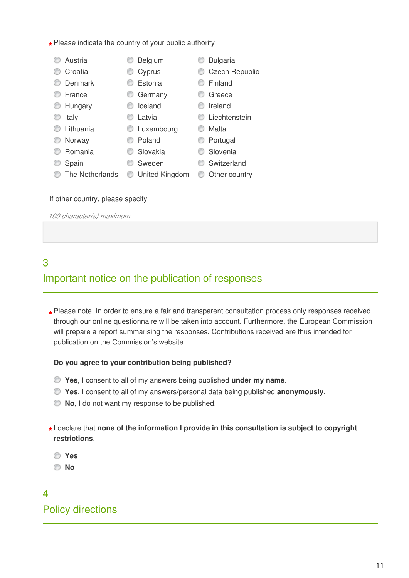**\*** Please indicate the country of your public authority

| Belgium             | <b>Bulgaria</b>       |
|---------------------|-----------------------|
| Cyprus              | <b>Czech Republic</b> |
| Estonia             | Finland               |
| Germany             | Greece                |
| Iceland             | Ireland               |
| Latvia              | Liechtenstein         |
| Luxembourg          | Malta                 |
| Poland              | Portugal              |
| Slovakia            | Slovenia              |
| Sweden              | Switzerland           |
| United Kingdom<br>w | Other country<br>w    |
|                     |                       |
|                     |                       |

#### If other country, please specify

*100 character(s) maximum* 

# 3

# Important notice on the publication of responses

**\*** Please note: In order to ensure a fair and transparent consultation process only responses received<br>through our opline questionnaire will be taken into asseunt. Eurthermare, the European Commission through our online questionnaire will be taken into account. Furthermore, the European Commission will prepare a report summarising the responses. Contributions received are thus intended for publication on the Commission's website.

### **Do you agree to your contribution being published?**

- **Yes**, I consent to all of my answers being published **under my name**.
- **Yes**, I consent to all of my answers/personal data being published **anonymously**.
- **No**, I do not want my response to be published.
- **\*** I declare that **none of the information I provide in this consultation is subject to copyright restrictions**.
	- **Yes**

**No**

# $\overline{\mathbf{A}}$ Policy directions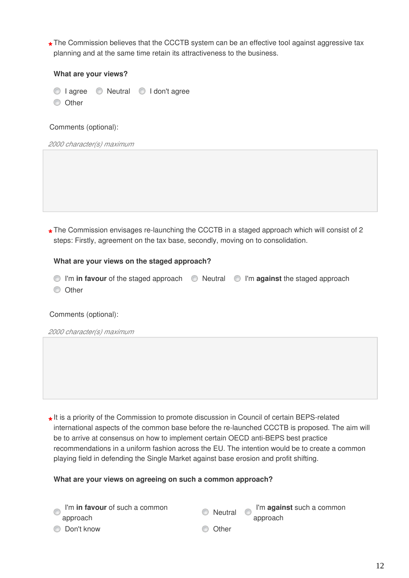The Commission believes that the CCCTB system can be an effective tool against aggressive tax<br>nlanning and at the same time ratein its attractiveness to the business. planning and at the same time retain its attractiveness to the business.

#### **What are your views?**

- $\circledcirc$  I agree  $\circledcirc$  Neutral  $\circledcirc$  I don't agree
- **Other**

Comments (optional):

*2000 character(s) maximum* 

**\*** The Commission envisages re-launching the CCCTB in a staged approach which will consist of 2 steps: Firstly, agreement on the tax base, secondly, moving on to consolidation.

#### **What are your views on the staged approach?**

I'm **in favour** of the staged approach Neutral I'm **against** the staged approach

**O** Other

#### Comments (optional):

*2000 character(s) maximum* 

**\*** It is a priority of the Commission to promote discussion in Council of certain BEPS-related international aspects of the common base before the re-launched CCCTB is proposed. The aim will be to arrive at consensus on how to implement certain OECD anti-BEPS best practice recommendations in a uniform fashion across the EU. The intention would be to create a common playing field in defending the Single Market against base erosion and profit shifting.

#### **What are your views on agreeing on such a common approach?**

| I'm in favour of such a common<br>approach | Neutral | I'm against such a common<br>approach |
|--------------------------------------------|---------|---------------------------------------|
| © Don't know                               | © Other |                                       |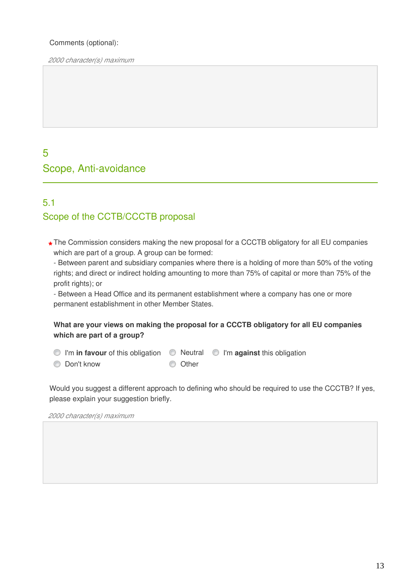## Comments (optional):

*2000 character(s) maximum* 

# 5 Scope, Anti-avoidance

# 5.1 Scope of the CCTB/CCCTB proposal

- **\*** The Commission considers making the new proposal for a CCCTB obligatory for all EU companies which are part of a group. A group can be formed:
	- Between parent and subsidiary companies where there is a holding of more than 50% of the voting rights; and direct or indirect holding amounting to more than 75% of capital or more than 75% of the profit rights); or

- Between a Head Office and its permanent establishment where a company has one or more permanent establishment in other Member States.

### **What are your views on making the proposal for a CCCTB obligatory for all EU companies which are part of a group?**

- **O** I'm in favour of this obligation **O** Neutral **O** I'm against this obligation
- O Don't know O Other
- 
- 
- 

Would you suggest a different approach to defining who should be required to use the CCCTB? If yes, please explain your suggestion briefly.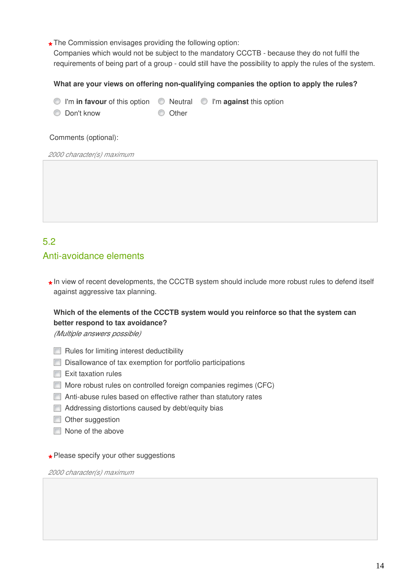**\*** The Commission envisages providing the following option:

Companies which would not be subject to the mandatory CCCTB - because they do not fulfil the requirements of being part of a group - could still have the possibility to apply the rules of the system.

### **What are your views on offering non-qualifying companies the option to apply the rules?**

- **I'm in favour** of this option  $\bullet$  Neutral  $\bullet$  I'm **against** this option
- O Don't know O Other

#### Comments (optional):

*2000 character(s) maximum* 

## 5.2

## Anti-avoidance elements

**\*** In view of recent developments, the CCCTB system should include more robust rules to defend itself against aggressive tax planning.

## **Which of the elements of the CCCTB system would you reinforce so that the system can better respond to tax avoidance?**

*(Multiple answers possible)*

- $\Box$  Rules for limiting interest deductibility
- Disallowance of tax exemption for portfolio participations
- $\Box$  Exit taxation rules
- More robust rules on controlled foreign companies regimes (CFC)
- Anti-abuse rules based on effective rather than statutory rates
- Addressing distortions caused by debt/equity bias
- **Other suggestion**
- $\Box$  None of the above

# **\*** Please specify your other suggestions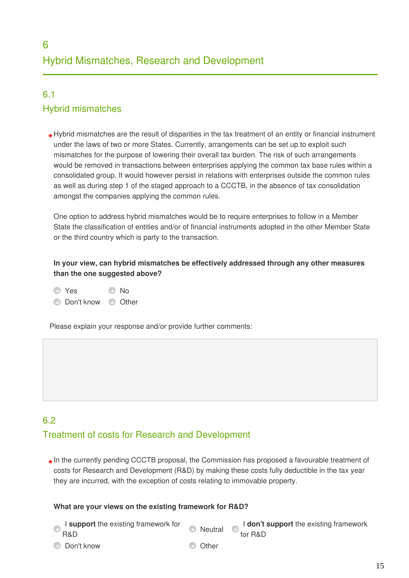# 6.1 Hybrid mismatches

**\*** Hybrid mismatches are the result of disparities in the tax treatment of an entity or financial instrument under the laws of two or more States. Currently, arrangements can be set up to exploit such mismatches for the purpose of lowering their overall tax burden. The risk of such arrangements would be removed in transactions between enterprises applying the common tax base rules within a consolidated group. It would however persist in relations with enterprises outside the common rules as well as during step 1 of the staged approach to a CCCTB, in the absence of tax consolidation amongst the companies applying the common rules.

One option to address hybrid mismatches would be to require enterprises to follow in a Member State the classification of entities and/or of financial instruments adopted in the other Member State or the third country which is party to the transaction.

**In your view, can hybrid mismatches be effectively addressed through any other measures than the one suggested above?**

- O Yes O No
- O Don't know © Other

Please explain your response and/or provide further comments:

# 6.2 Treatment of costs for Research and Development

**\*** In the currently pending CCCTB proposal, the Commission has proposed a favourable treatment of costs for Research and Development (R&D) by making these costs fully deductible in the tax year they are incurred, with the exception of costs relating to immovable property.

### **What are your views on the existing framework for R&D?**

- I **support** the existing framework for I **support** the existing framework for<br>R&D<br>for R&D for R&D
- O Don't know O Other
	-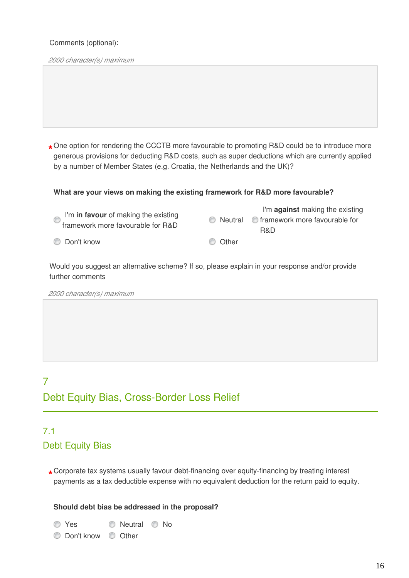#### Comments (optional):

*2000 character(s) maximum* 

**\*** One option for rendering the CCCTB more favourable to promoting R&D could be to introduce more generous provisions for deducting R&D costs, such as super deductions which are currently applied by a number of Member States (e.g. Croatia, the Netherlands and the UK)?

#### **What are your views on making the existing framework for R&D more favourable?**

| $\bullet$ I'm in favour of making the existing<br>framework more favourable for R&D |         | I'm against making the existing<br>$\circledcirc$ Neutral $\circledcirc$ framework more favourable for<br>R&D |
|-------------------------------------------------------------------------------------|---------|---------------------------------------------------------------------------------------------------------------|
| © Don't know                                                                        | C Other |                                                                                                               |

Would you suggest an alternative scheme? If so, please explain in your response and/or provide further comments

*2000 character(s) maximum* 

# 7 Debt Equity Bias, Cross-Border Loss Relief

# 7.1 Debt Equity Bias

**\*** Corporate tax systems usually favour debt-financing over equity-financing by treating interest payments as a tax deductible expense with no equivalent deduction for the return paid to equity.

#### **Should debt bias be addressed in the proposal?**

O Yes C Neutral C No

O Don't know © Other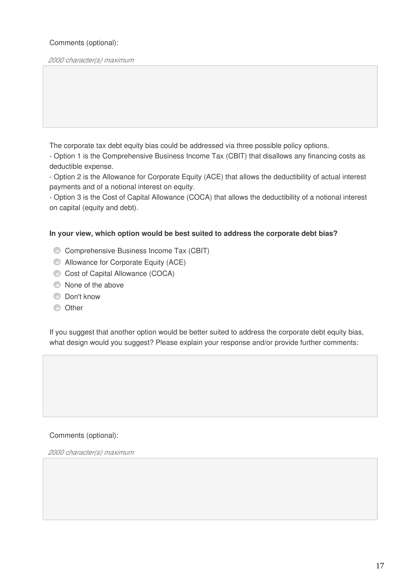## Comments (optional):

*2000 character(s) maximum* 

The corporate tax debt equity bias could be addressed via three possible policy options.

- Option 1 is the Comprehensive Business Income Tax (CBIT) that disallows any financing costs as deductible expense.

- Option 2 is the Allowance for Corporate Equity (ACE) that allows the deductibility of actual interest payments and of a notional interest on equity.

- Option 3 is the Cost of Capital Allowance (COCA) that allows the deductibility of a notional interest on capital (equity and debt).

#### **In your view, which option would be best suited to address the corporate debt bias?**

- Comprehensive Business Income Tax (CBIT)
- **C** Allowance for Corporate Equity (ACE)
- Cost of Capital Allowance (COCA)
- $\bullet$  None of the above
- **Don't know**
- **O** Other

If you suggest that another option would be better suited to address the corporate debt equity bias, what design would you suggest? Please explain your response and/or provide further comments:

#### Comments (optional):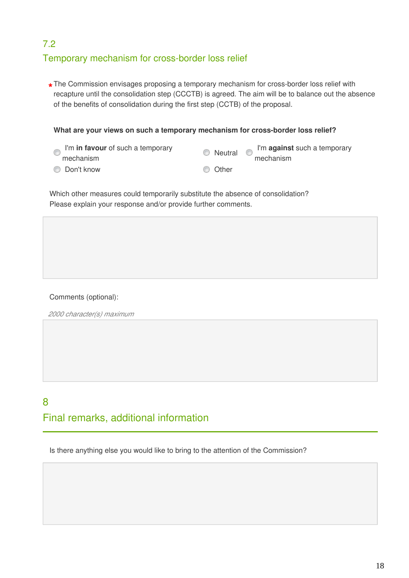# 7.2 Temporary mechanism for cross-border loss relief

The Commission envisages proposing a temporary mechanism for cross-border loss relief with<br>receptive until the cancelidation stap (CCCTP) is careed. The sim will be to belance out the ch recapture until the consolidation step (CCCTB) is agreed. The aim will be to balance out the absence of the benefits of consolidation during the first step (CCTB) of the proposal.

**What are your views on such a temporary mechanism for cross-border loss relief?**

| I'm in favour of such a temporary | <b>O</b> Neutral | I'm against such a temporary |  |
|-----------------------------------|------------------|------------------------------|--|
| mechanism                         |                  | mechanism                    |  |
| © Don't know                      | Other<br>$\circ$ |                              |  |

Which other measures could temporarily substitute the absence of consolidation? Please explain your response and/or provide further comments.

### Comments (optional):

*2000 character(s) maximum* 

# 8 Final remarks, additional information

Is there anything else you would like to bring to the attention of the Commission?